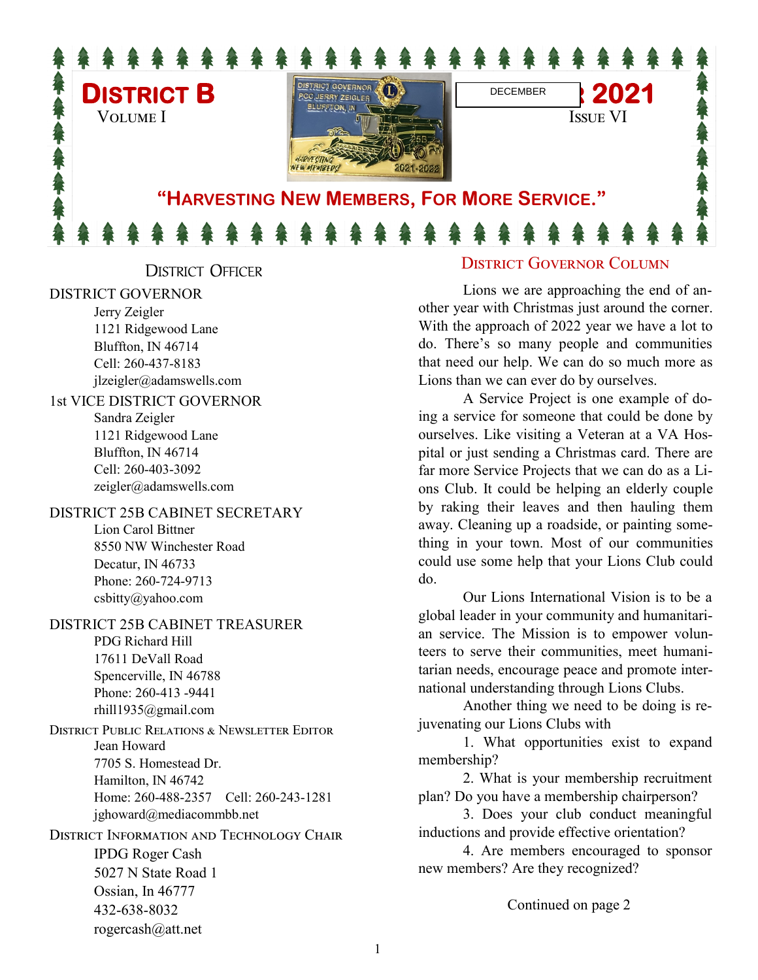

DISTRICT OFFICER

#### DISTRICT GOVERNOR

Jerry Zeigler 1121 Ridgewood Lane Bluffton, IN 46714 Cell: 260-437-8183 jlzeigler@adamswells.com

#### 1st VICE DISTRICT GOVERNOR

Sandra Zeigler 1121 Ridgewood Lane Bluffton, IN 46714 Cell: 260-403-3092 zeigler@adamswells.com

#### DISTRICT 25B CABINET SECRETARY

Lion Carol Bittner 8550 NW Winchester Road Decatur, IN 46733 Phone: 260-724-9713 [csbitty@yahoo.com](mailto:csbitty@yahoo.com)

#### DISTRICT 25B CABINET TREASURER

PDG Richard Hill 17611 DeVall Road Spencerville, IN 46788 Phone: 260-413 -9441 rhill1935@gmail.com

District Public Relations & Newsletter Editor Jean Howard 7705 S. Homestead Dr. Hamilton, IN 46742 Home: 260-488-2357 Cell: 260-243-1281 jghoward@mediacommbb.net

District Information and Technology Chair IPDG Roger Cash 5027 N State Road 1 Ossian, In 46777 432-638-8032 rogercash@att.net

### District Governor Column

Lions we are approaching the end of another year with Christmas just around the corner. With the approach of 2022 year we have a lot to do. There's so many people and communities that need our help. We can do so much more as Lions than we can ever do by ourselves.

A Service Project is one example of doing a service for someone that could be done by ourselves. Like visiting a Veteran at a VA Hospital or just sending a Christmas card. There are far more Service Projects that we can do as a Lions Club. It could be helping an elderly couple by raking their leaves and then hauling them away. Cleaning up a roadside, or painting something in your town. Most of our communities could use some help that your Lions Club could do.

Our Lions International Vision is to be a global leader in your community and humanitarian service. The Mission is to empower volunteers to serve their communities, meet humanitarian needs, encourage peace and promote international understanding through Lions Clubs.

Another thing we need to be doing is rejuvenating our Lions Clubs with

1. What opportunities exist to expand membership?

2. What is your membership recruitment plan? Do you have a membership chairperson?

3. Does your club conduct meaningful inductions and provide effective orientation?

4. Are members encouraged to sponsor new members? Are they recognized?

Continued on page 2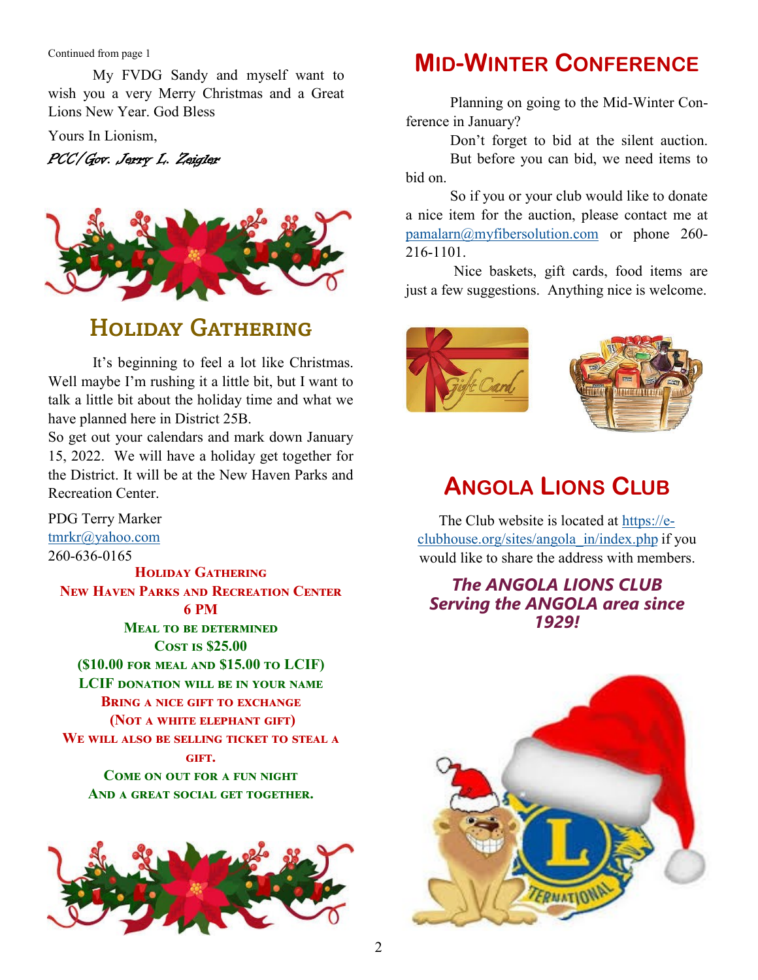Continued from page 1

My FVDG Sandy and myself want to wish you a very Merry Christmas and a Great Lions New Year. God Bless

Yours In Lionism,

PCC/Gov. Jerry L. Zeigler



## HOLIDAY GATHERING

It's beginning to feel a lot like Christmas. Well maybe I'm rushing it a little bit, but I want to talk a little bit about the holiday time and what we have planned here in District 25B.

So get out your calendars and mark down January 15, 2022. We will have a holiday get together for the District. It will be at the New Haven Parks and Recreation Center.

PDG Terry Marker [tmrkr@yahoo.com](mailto:tmrkr@yahoo.com) 260-636-0165 **Holiday Gathering New Haven Parks and Recreation Center 6 PM Meal to be determined Cost is \$25.00 (\$10.00 for meal and \$15.00 to LCIF) LCIF donation will be in your name Bring a nice gift to exchange (Not a white elephant gift) We will also be selling ticket to steal a gift. Come on out for a fun night And a great social get together.**



## **MID-WINTER CONFERENCE**

Planning on going to the Mid-Winter Conference in January?

Don't forget to bid at the silent auction. But before you can bid, we need items to bid on.

So if you or your club would like to donate a nice item for the auction, please contact me at [pamalarn@myfibersolution.com](mailto:pamalarn@myfibersolution.com) or phone 260- 216-1101.

Nice baskets, gift cards, food items are just a few suggestions. Anything nice is welcome.





## **ANGOLA LIONS CLUB**

The Club website is located at [https://e](https://e-clubhouse.org/sites/angola_in/index.php)[clubhouse.org/sites/angola\\_in/index.php](https://e-clubhouse.org/sites/angola_in/index.php) if you would like to share the address with members.

### *The ANGOLA LIONS CLUB Serving the ANGOLA area since 1929!*

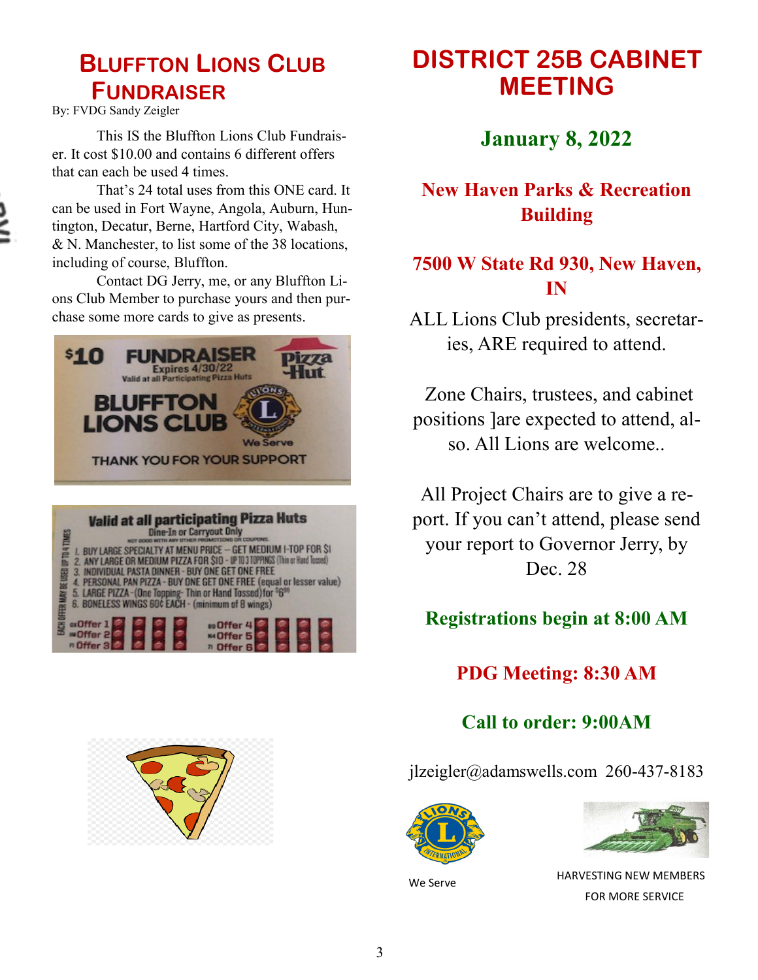## **BLUFFTON LIONS CLUB FUNDRAISER**

By: FVDG Sandy Zeigler

This IS the Bluffton Lions Club Fundraiser. It cost \$10.00 and contains 6 different offers that can each be used 4 times.

That's 24 total uses from this ONE card. It can be used in Fort Wayne, Angola, Auburn, Huntington, Decatur, Berne, Hartford City, Wabash, & N. Manchester, to list some of the 38 locations, including of course, Bluffton.

Contact DG Jerry, me, or any Bluffton Lions Club Member to purchase yours and then purchase some more cards to give as presents.





## **DISTRICT 25B CABINET MEETING**

**January 8, 2022** 

### **New Haven Parks & Recreation Building**

### **7500 W State Rd 930, New Haven, IN**

ALL Lions Club presidents, secretaries, ARE required to attend.

Zone Chairs, trustees, and cabinet positions ]are expected to attend, also. All Lions are welcome..

All Project Chairs are to give a report. If you can't attend, please send your report to Governor Jerry, by Dec. 28

### **Registrations begin at 8:00 AM**

### **PDG Meeting: 8:30 AM**

**Call to order: 9:00AM**

jlzeigler@adamswells.com 260-437-8183



We Serve



 HARVESTING NEW MEMBERS FOR MORE SERVICE

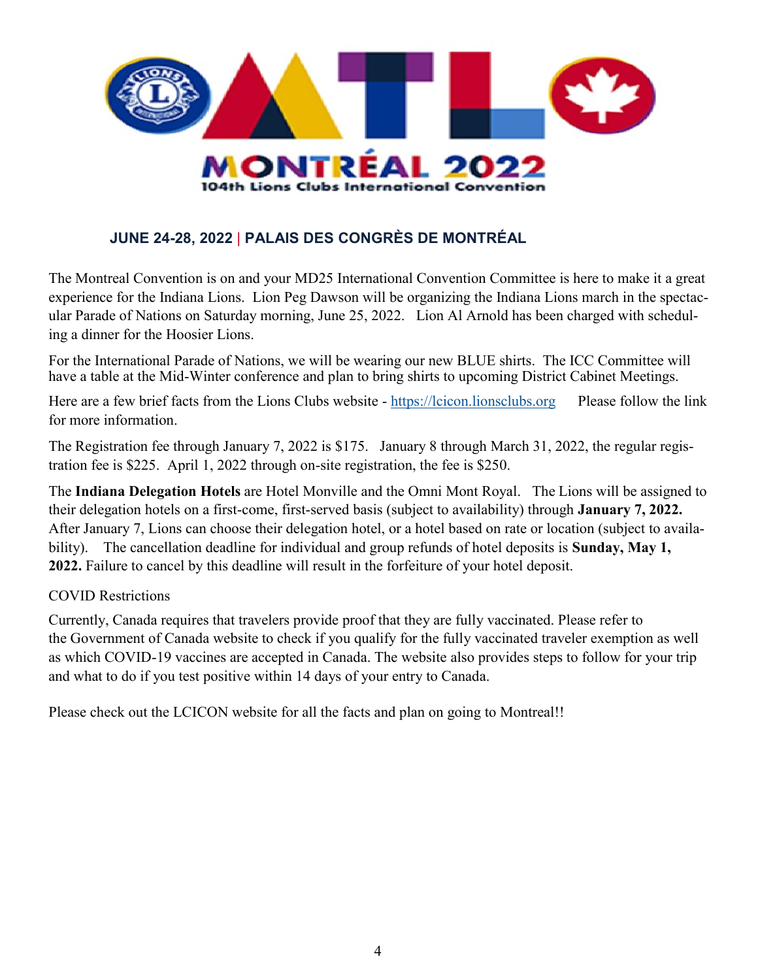

### **JUNE 24-28, 2022** | **PALAIS DES CONGRÈS DE MONTRÉAL**

The Montreal Convention is on and your MD25 International Convention Committee is here to make it a great experience for the Indiana Lions. Lion Peg Dawson will be organizing the Indiana Lions march in the spectacular Parade of Nations on Saturday morning, June 25, 2022. Lion Al Arnold has been charged with scheduling a dinner for the Hoosier Lions.

For the International Parade of Nations, we will be wearing our new BLUE shirts. The ICC Committee will have a table at the Mid-Winter conference and plan to bring shirts to upcoming District Cabinet Meetings.

Here are a few brief facts from the Lions Clubs website - <https://lcicon.lionsclubs.org>Please follow the link for more information.

The Registration fee through January 7, 2022 is \$175. January 8 through March 31, 2022, the regular registration fee is \$225. April 1, 2022 through on-site registration, the fee is \$250.

The **Indiana Delegation Hotels** are Hotel Monville and the Omni Mont Royal. The Lions will be assigned to their delegation hotels on a first-come, first-served basis (subject to availability) through **January 7, 2022.**  After January 7, Lions can choose their delegation hotel, or a hotel based on rate or location (subject to availability). The cancellation deadline for individual and group refunds of hotel deposits is **Sunday, May 1, 2022.** Failure to cancel by this deadline will result in the forfeiture of your hotel deposit.

### COVID Restrictions

Currently, Canada requires that travelers provide proof that they are fully vaccinated. Please refer to the [Government of Canada website](https://www.canada.ca/en/immigration-refugees-citizenship/services/visit-canada.html) to check if you qualify for the fully vaccinated traveler exemption as well as which COVID-19 vaccines are accepted in Canada. The [website](https://www.canada.ca/en/immigration-refugees-citizenship/services/visit-canada.html) also provides steps to follow for your trip and what to do if you test positive within 14 days of your entry to Canada.

Please check out the LCICON website for all the facts and plan on going to Montreal!!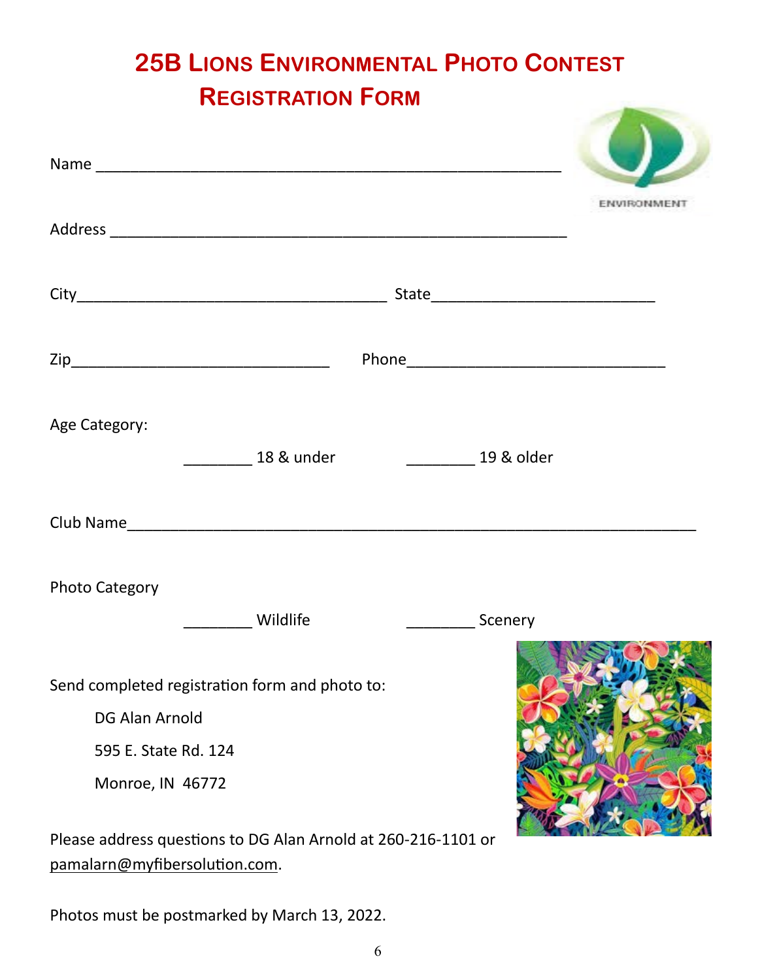# **25B LIONS ENVIRONMENTAL PHOTO CONTEST REGISTRATION FORM**

|                                                                                                              | ENVIRONMEN                 |
|--------------------------------------------------------------------------------------------------------------|----------------------------|
|                                                                                                              |                            |
|                                                                                                              |                            |
| Age Category:<br>18 & under                                                                                  | _______________ 19 & older |
|                                                                                                              |                            |
| <b>Photo Category</b>                                                                                        |                            |
| Wildlife                                                                                                     | ______________Scenery      |
| Send completed registration form and photo to:<br>DG Alan Arnold<br>595 E. State Rd. 124<br>Monroe, IN 46772 |                            |
| Please address questions to DG Alan Arnold at 260-216-1101 or<br>pamalarn@myfibersolution.com.               |                            |

Photos must be postmarked by March 13, 2022.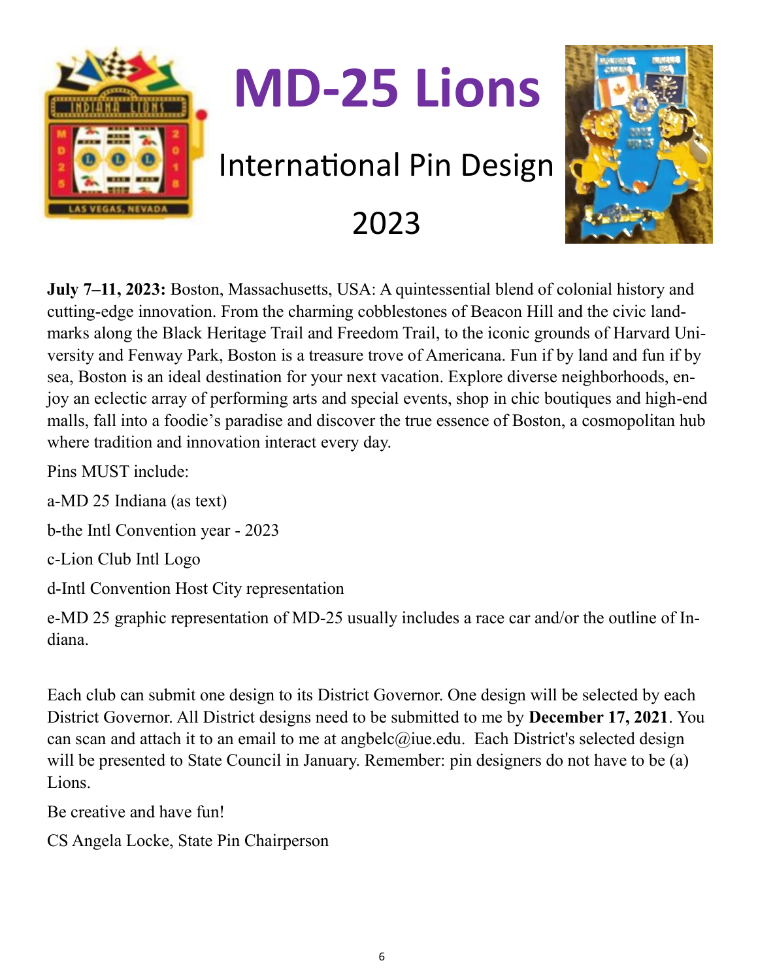

**July 7–11, 2023:** Boston, Massachusetts, USA: A quintessential blend of colonial history and cutting-edge innovation. From the charming cobblestones of Beacon Hill and the civic landmarks along the Black Heritage Trail and Freedom Trail, to the iconic grounds of Harvard University and Fenway Park, Boston is a treasure trove of Americana. Fun if by land and fun if by sea, Boston is an ideal destination for your next vacation. Explore diverse neighborhoods, enjoy an eclectic array of performing arts and special events, shop in chic boutiques and high-end malls, fall into a foodie's paradise and discover the true essence of Boston, a cosmopolitan hub where tradition and innovation interact every day.

Pins MUST include:

a-MD 25 Indiana (as text)

b-the Intl Convention year - 2023

c-Lion Club Intl Logo

d-Intl Convention Host City representation

e-MD 25 graphic representation of MD-25 usually includes a race car and/or the outline of Indiana.

Each club can submit one design to its District Governor. One design will be selected by each District Governor. All District designs need to be submitted to me by **December 17, 2021**. You can scan and attach it to an email to me at angbelc@iue.edu. Each District's selected design will be presented to State Council in January. Remember: pin designers do not have to be (a) Lions.

Be creative and have fun!

CS Angela Locke, State Pin Chairperson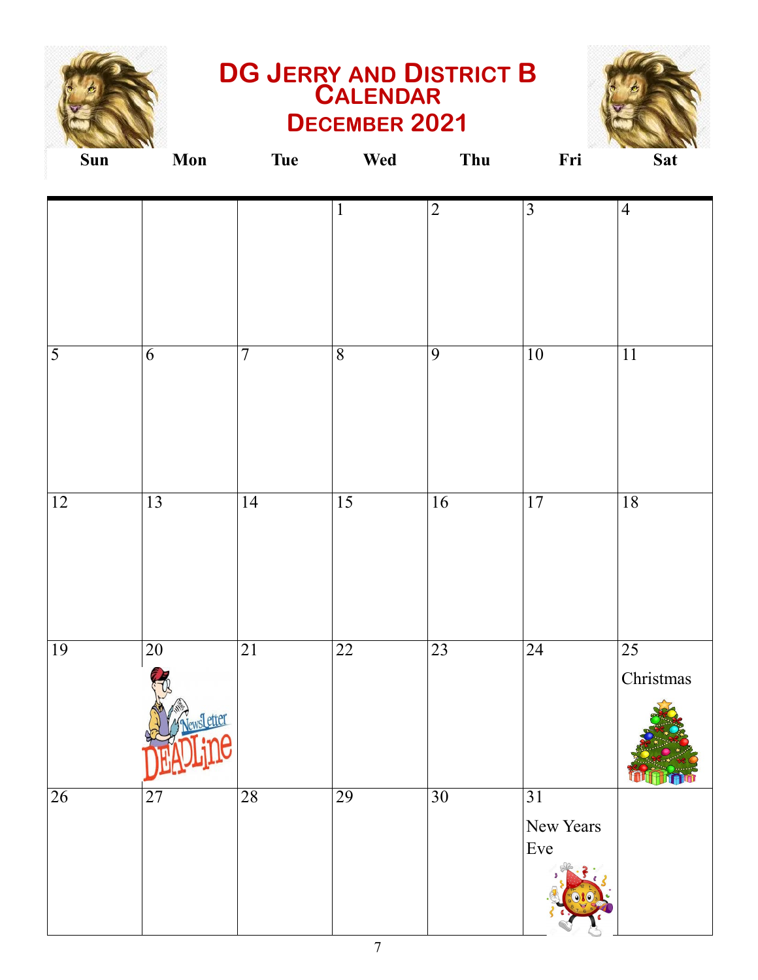